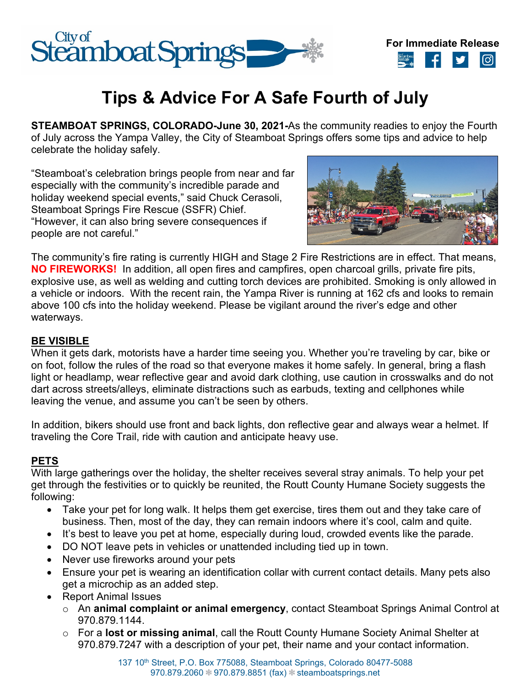



# **Tips & Advice For A Safe Fourth of July**

**STEAMBOAT SPRINGS, COLORADO-June 30, 2021-**As the community readies to enjoy the Fourth of July across the Yampa Valley, the City of Steamboat Springs offers some tips and advice to help celebrate the holiday safely.

"Steamboat's celebration brings people from near and far especially with the community's incredible parade and holiday weekend special events," said Chuck Cerasoli, Steamboat Springs Fire Rescue (SSFR) Chief. "However, it can also bring severe consequences if people are not careful."



The community's fire rating is currently HIGH and Stage 2 Fire Restrictions are in effect. That means, **NO FIREWORKS!** In addition, all open fires and campfires, open charcoal grills, private fire pits, explosive use, as well as welding and cutting torch devices are prohibited. Smoking is only allowed in a vehicle or indoors. With the recent rain, the Yampa River is running at 162 cfs and looks to remain above 100 cfs into the holiday weekend. Please be vigilant around the river's edge and other waterways.

#### **BE VISIBLE**

When it gets dark, motorists have a harder time seeing you. Whether you're traveling by car, bike or on foot, follow the rules of the road so that everyone makes it home safely. In general, bring a flash light or headlamp, wear reflective gear and avoid dark clothing, use caution in crosswalks and do not dart across streets/alleys, eliminate distractions such as earbuds, texting and cellphones while leaving the venue, and assume you can't be seen by others.

In addition, bikers should use front and back lights, don reflective gear and always wear a helmet. If traveling the Core Trail, ride with caution and anticipate heavy use.

## **PETS**

With large gatherings over the holiday, the shelter receives several stray animals. To help your pet get through the festivities or to quickly be reunited, the Routt County Humane Society suggests the following:

- Take your pet for long walk. It helps them get exercise, tires them out and they take care of business. Then, most of the day, they can remain indoors where it's cool, calm and quite.
- It's best to leave you pet at home, especially during loud, crowded events like the parade.
- DO NOT leave pets in vehicles or unattended including tied up in town.
- Never use fireworks around your pets
- Ensure your pet is wearing an identification collar with current contact details. Many pets also get a microchip as an added step.
- Report Animal Issues
	- o An **animal complaint or animal emergency**, contact Steamboat Springs Animal Control at 970.879.1144.
	- o For a **lost or missing animal**, call the Routt County Humane Society Animal Shelter at 970.879.7247 with a description of your pet, their name and your contact information.